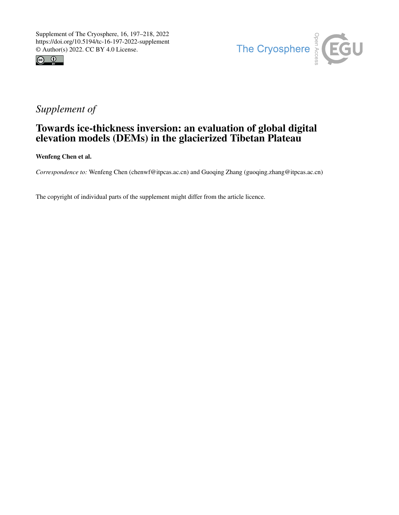



## *Supplement of*

## Towards ice-thickness inversion: an evaluation of global digital elevation models (DEMs) in the glacierized Tibetan Plateau

Wenfeng Chen et al.

*Correspondence to:* Wenfeng Chen (chenwf@itpcas.ac.cn) and Guoqing Zhang (guoqing.zhang@itpcas.ac.cn)

The copyright of individual parts of the supplement might differ from the article licence.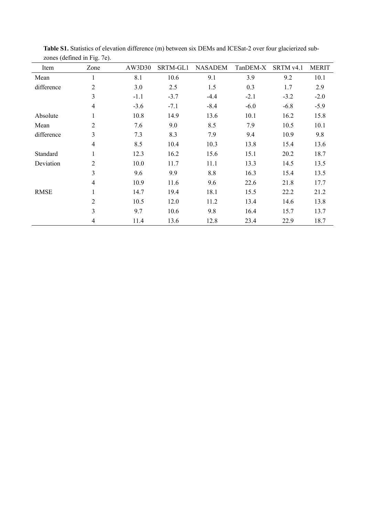|             | $10.100$ (we have the $1.5$ . |        |          |                |          |           |              |
|-------------|-------------------------------|--------|----------|----------------|----------|-----------|--------------|
| Item        | Zone                          | AW3D30 | SRTM-GL1 | <b>NASADEM</b> | TanDEM-X | SRTM v4.1 | <b>MERIT</b> |
| Mean        | 1                             | 8.1    | 10.6     | 9.1            | 3.9      | 9.2       | 10.1         |
| difference  | $\overline{2}$                | 3.0    | 2.5      | 1.5            | 0.3      | 1.7       | 2.9          |
|             | 3                             | $-1.1$ | $-3.7$   | $-4.4$         | $-2.1$   | $-3.2$    | $-2.0$       |
|             | $\overline{4}$                | $-3.6$ | $-7.1$   | $-8.4$         | $-6.0$   | $-6.8$    | $-5.9$       |
| Absolute    | 1                             | 10.8   | 14.9     | 13.6           | 10.1     | 16.2      | 15.8         |
| Mean        | $\overline{2}$                | 7.6    | 9.0      | 8.5            | 7.9      | 10.5      | 10.1         |
| difference  | 3                             | 7.3    | 8.3      | 7.9            | 9.4      | 10.9      | 9.8          |
|             | $\overline{4}$                | 8.5    | 10.4     | 10.3           | 13.8     | 15.4      | 13.6         |
| Standard    | 1                             | 12.3   | 16.2     | 15.6           | 15.1     | 20.2      | 18.7         |
| Deviation   | $\overline{2}$                | 10.0   | 11.7     | 11.1           | 13.3     | 14.5      | 13.5         |
|             | 3                             | 9.6    | 9.9      | 8.8            | 16.3     | 15.4      | 13.5         |
|             | $\overline{4}$                | 10.9   | 11.6     | 9.6            | 22.6     | 21.8      | 17.7         |
| <b>RMSE</b> | $\mathbf{1}$                  | 14.7   | 19.4     | 18.1           | 15.5     | 22.2      | 21.2         |
|             | $\overline{2}$                | 10.5   | 12.0     | 11.2           | 13.4     | 14.6      | 13.8         |
|             | 3                             | 9.7    | 10.6     | 9.8            | 16.4     | 15.7      | 13.7         |
|             | 4                             | 11.4   | 13.6     | 12.8           | 23.4     | 22.9      | 18.7         |

**Table S1.** Statistics of elevation difference (m) between six DEMs and ICESat-2 over four glacierized subzones (defined in Fig. 7e).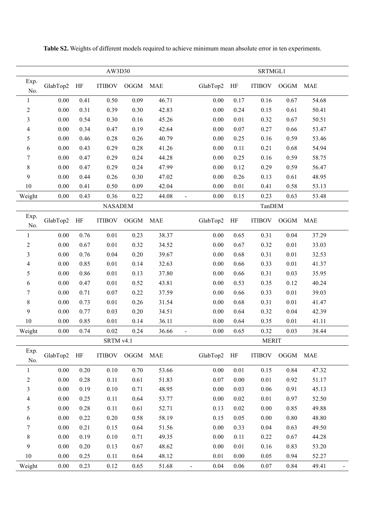|                          | AW3D30    |          |               |            |       |                        | SRTMGL1   |               |            |            |  |
|--------------------------|-----------|----------|---------------|------------|-------|------------------------|-----------|---------------|------------|------------|--|
| Exp.<br>No.              | GlabTop2  | $\rm HF$ | <b>ITIBOV</b> | $\rm OGGM$ | MAE   | GlabTop2               | $\rm{HF}$ | <b>ITIBOV</b> | $\rm OGGM$ | <b>MAE</b> |  |
| $\mathbf{1}$             | $0.00\,$  | 0.41     | 0.50          | 0.09       | 46.71 | 0.00                   | 0.17      | 0.16          | 0.67       | 54.68      |  |
| $\overline{c}$           | $0.00\,$  | 0.31     | 0.39          | 0.30       | 42.83 | 0.00                   | 0.24      | 0.15          | 0.61       | 50.41      |  |
| 3                        | 0.00      | 0.54     | 0.30          | 0.16       | 45.26 | 0.00                   | 0.01      | 0.32          | 0.67       | 50.51      |  |
| $\overline{4}$           | $0.00\,$  | 0.34     | 0.47          | 0.19       | 42.64 | 0.00                   | $0.07\,$  | 0.27          | 0.66       | 53.47      |  |
| 5                        | 0.00      | 0.46     | 0.28          | 0.26       | 40.79 | 0.00                   | 0.25      | 0.16          | 0.59       | 53.46      |  |
| 6                        | 0.00      | 0.43     | 0.29          | 0.28       | 41.26 | 0.00                   | 0.11      | 0.21          | 0.68       | 54.94      |  |
| 7                        | $0.00\,$  | 0.47     | 0.29          | 0.24       | 44.28 | 0.00                   | 0.25      | 0.16          | 0.59       | 58.75      |  |
| 8                        | 0.00      | 0.47     | 0.29          | 0.24       | 47.99 | 0.00                   | 0.12      | 0.29          | 0.59       | 56.47      |  |
| 9                        | $0.00\,$  | 0.44     | 0.26          | 0.30       | 47.02 | 0.00                   | 0.26      | 0.13          | 0.61       | 48.95      |  |
| 10                       | $0.00\,$  | 0.41     | 0.50          | 0.09       | 42.04 | 0.00                   | 0.01      | 0.41          | 0.58       | 53.13      |  |
| Weight                   | 0.00      | 0.43     | 0.36          | 0.22       | 44.08 | 0.00<br>$\blacksquare$ | 0.15      | 0.23          | 0.63       | 53.48      |  |
| <b>NASADEM</b>           |           |          |               |            |       |                        | TanDEM    |               |            |            |  |
| Exp.<br>No.              | GlabTop2  | HF       | <b>ITIBOV</b> | OGGM       | MAE   | GlabTop2               | HF        | <b>ITIBOV</b> | OGGM       | <b>MAE</b> |  |
| $\mathbf{1}$             | $0.00\,$  | 0.76     | 0.01          | 0.23       | 38.37 | 0.00                   | 0.65      | 0.31          | 0.04       | 37.29      |  |
| 2                        | $0.00\,$  | 0.67     | 0.01          | 0.32       | 34.52 | 0.00                   | 0.67      | 0.32          | 0.01       | 33.03      |  |
| 3                        | 0.00      | 0.76     | 0.04          | 0.20       | 39.67 | 0.00                   | 0.68      | 0.31          | 0.01       | 32.53      |  |
| $\overline{\mathcal{A}}$ | $0.00\,$  | 0.85     | $0.01\,$      | 0.14       | 32.63 | 0.00                   | 0.66      | 0.33          | 0.01       | 41.37      |  |
| 5                        | $0.00\,$  | 0.86     | 0.01          | 0.13       | 37.80 | 0.00                   | 0.66      | 0.31          | 0.03       | 35.95      |  |
| 6                        | $0.00\,$  | 0.47     | $0.01\,$      | 0.52       | 43.81 | 0.00                   | 0.53      | 0.35          | 0.12       | 40.24      |  |
| 7                        | $0.00\,$  | 0.71     | 0.07          | 0.22       | 37.59 | 0.00                   | 0.66      | 0.33          | 0.01       | 39.03      |  |
| 8                        | 0.00      | 0.73     | 0.01          | 0.26       | 31.54 | 0.00                   | 0.68      | 0.31          | 0.01       | 41.47      |  |
| 9                        | $0.00\,$  | 0.77     | 0.03          | 0.20       | 34.51 | 0.00                   | 0.64      | 0.32          | 0.04       | 42.39      |  |
| 10                       | $0.00\,$  | 0.85     | 0.01          | 0.14       | 36.11 | 0.00                   | 0.64      | 0.35          | 0.01       | 41.11      |  |
| Weight                   | $0.00\,$  | 0.74     | 0.02          | 0.24       | 36.66 | 0.00                   | 0.65      | 0.32          | 0.03       | 38.44      |  |
|                          | SRTM v4.1 |          |               |            |       |                        |           | <b>MERIT</b>  |            |            |  |
| Exp.<br>No.              | GlabTop2  | HF       | <b>ITIBOV</b> | OGGM MAE   |       | GlabTop2               | HF        | <b>ITIBOV</b> | OGGM       | <b>MAE</b> |  |
| $\mathbf{1}$             | $0.00\,$  | 0.20     | 0.10          | 0.70       | 53.66 | 0.00                   | 0.01      | 0.15          | 0.84       | 47.32      |  |
| $\overline{c}$           | $0.00\,$  | 0.28     | 0.11          | 0.61       | 51.83 | 0.07                   | $0.00\,$  | 0.01          | 0.92       | 51.17      |  |
| 3                        | 0.00      | 0.19     | 0.10          | 0.71       | 48.95 | 0.00                   | 0.03      | 0.06          | 0.91       | 45.13      |  |
| $\overline{\mathcal{A}}$ | 0.00      | 0.25     | 0.11          | 0.64       | 53.77 | 0.00                   | 0.02      | 0.01          | 0.97       | 52.50      |  |
| 5                        | 0.00      | 0.28     | 0.11          | 0.61       | 52.71 | 0.13                   | 0.02      | 0.00          | 0.85       | 49.88      |  |
| 6                        | $0.00\,$  | 0.22     | 0.20          | 0.58       | 58.19 | 0.15                   | 0.05      | $0.00\,$      | 0.80       | 48.80      |  |
| 7                        | 0.00      | 0.21     | 0.15          | 0.64       | 51.56 | 0.00                   | 0.33      | 0.04          | 0.63       | 49.50      |  |
| 8                        | 0.00      | 0.19     | 0.10          | 0.71       | 49.35 | 0.00                   | 0.11      | 0.22          | 0.67       | 44.28      |  |
| 9                        | $0.00\,$  | 0.20     | 0.13          | 0.67       | 48.62 | 0.00                   | 0.01      | 0.16          | 0.83       | 53.20      |  |
| 10                       | 0.00      | 0.25     | 0.11          | 0.64       | 48.12 | 0.01                   | $0.00\,$  | 0.05          | 0.94       | 52.27      |  |
| Weight                   | 0.00      | 0.23     | 0.12          | 0.65       | 51.68 | 0.04                   | 0.06      | 0.07          | 0.84       | 49.41      |  |

**Table S2.** Weights of different models required to achieve minimum mean absolute error in ten experiments.